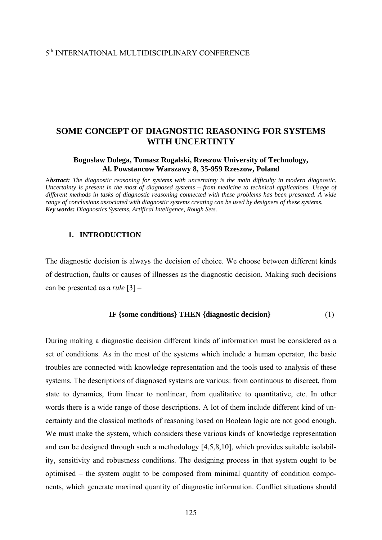# 5th INTERNATIONAL MULTIDISCIPLINARY CONFERENCE

# **SOME CONCEPT OF DIAGNOSTIC REASONING FOR SYSTEMS WITH UNCERTINTY**

## **Boguslaw Dolega, Tomasz Rogalski, Rzeszow University of Technology, Al. Powstancow Warszawy 8, 35-959 Rzeszow, Poland**

A*bstract: The diagnostic reasoning for systems with uncertainty is the main difficulty in modern diagnostic. Uncertainty is present in the most of diagnosed systems – from medicine to technical applications. Usage of different methods in tasks of diagnostic reasoning connected with these problems has been presented. A wide range of conclusions associated with diagnostic systems creating can be used by designers of these systems. Key words: Diagnostics Systems, Artifical Inteligence, Rough Sets.*

#### **1. INTRODUCTION**

The diagnostic decision is always the decision of choice. We choose between different kinds of destruction, faults or causes of illnesses as the diagnostic decision. Making such decisions can be presented as a *rule* [3] –

#### **IF {some conditions} THEN {diagnostic decision}** (1)

During making a diagnostic decision different kinds of information must be considered as a set of conditions. As in the most of the systems which include a human operator, the basic troubles are connected with knowledge representation and the tools used to analysis of these systems. The descriptions of diagnosed systems are various: from continuous to discreet, from state to dynamics, from linear to nonlinear, from qualitative to quantitative, etc. In other words there is a wide range of those descriptions. A lot of them include different kind of uncertainty and the classical methods of reasoning based on Boolean logic are not good enough. We must make the system, which considers these various kinds of knowledge representation and can be designed through such a methodology [4,5,8,10], which provides suitable isolability, sensitivity and robustness conditions. The designing process in that system ought to be optimised – the system ought to be composed from minimal quantity of condition components, which generate maximal quantity of diagnostic information. Conflict situations should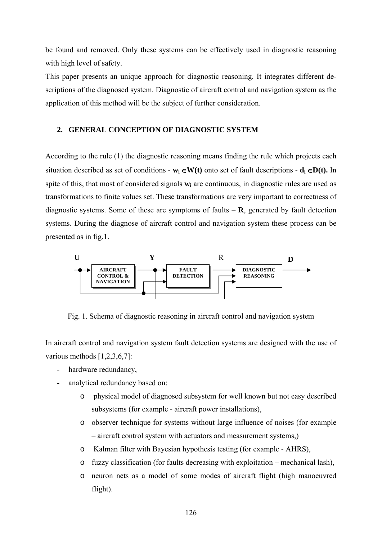be found and removed. Only these systems can be effectively used in diagnostic reasoning with high level of safety.

This paper presents an unique approach for diagnostic reasoning. It integrates different descriptions of the diagnosed system. Diagnostic of aircraft control and navigation system as the application of this method will be the subject of further consideration.

# **2. GENERAL CONCEPTION OF DIAGNOSTIC SYSTEM**

According to the rule (1) the diagnostic reasoning means finding the rule which projects each situation described as set of conditions -  $w_i \in W(t)$  onto set of fault descriptions -  $d_i \in D(t)$ . In spite of this, that most of considered signals  $w_i$  are continuous, in diagnostic rules are used as transformations to finite values set. These transformations are very important to correctness of diagnostic systems. Some of these are symptoms of faults  $- R$ , generated by fault detection systems. During the diagnose of aircraft control and navigation system these process can be presented as in fig.1.



Fig. 1. Schema of diagnostic reasoning in aircraft control and navigation system

In aircraft control and navigation system fault detection systems are designed with the use of various methods [1,2,3,6,7]:

- hardware redundancy,
- analytical redundancy based on:
	- o physical model of diagnosed subsystem for well known but not easy described subsystems (for example - aircraft power installations),
	- o observer technique for systems without large influence of noises (for example – aircraft control system with actuators and measurement systems,)
	- o Kalman filter with Bayesian hypothesis testing (for example AHRS),
	- o fuzzy classification (for faults decreasing with exploitation mechanical lash),
	- o neuron nets as a model of some modes of aircraft flight (high manoeuvred flight).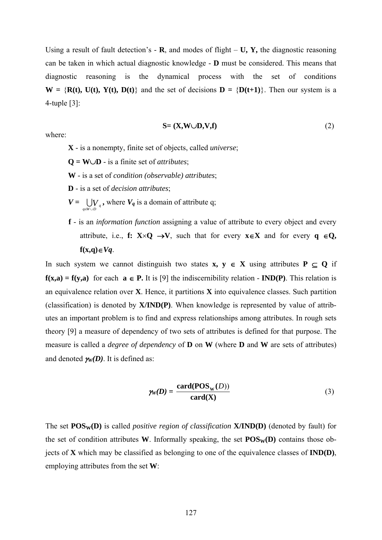Using a result of fault detection's  $\cdot$  **R**, and modes of flight – **U, Y**, the diagnostic reasoning can be taken in which actual diagnostic knowledge - **D** must be considered. This means that diagnostic reasoning is the dynamical process with the set of conditions  $W = \{R(t), U(t), Y(t), D(t)\}\$ and the set of decisions  $D = \{D(t+1)\}\$ . Then our system is a 4-tuple [3]:

$$
S = (X, W \cup D, V, f) \tag{2}
$$

where:

**X** - is a nonempty, finite set of objects, called *universe*;

**Q = W**∪**D** - is a finite set of *attributes*;

- **W**  is a set of *condition (observable) attributes*;
- **D** is a set of *decision attributes*;
- $V = \bigcup_{q \in W \cup D} V_q$ , where  $V_q$  is a domain of attribute q;
- **f** is an *information function* assigning a value of attribute to every object and every attribute, i.e., **f:**  $X \times Q \rightarrow V$ , such that for every  $x \in X$  and for every  $q \in Q$ , **f(x,q)**∈*Vq*.

In such system we cannot distinguish two states **x, y** ∈ **X** using attributes **P** ⊆ **Q** if **f(x,a) = f(y,a)** for each **a ∈ P.** It is [9] the indiscernibility relation - **IND(P)**. This relation is an equivalence relation over **X**. Hence, it partitions **X** into equivalence classes. Such partition (classification) is denoted by **X/IND(P)**. When knowledge is represented by value of attributes an important problem is to find and express relationships among attributes. In rough sets theory [9] a measure of dependency of two sets of attributes is defined for that purpose. The measure is called a *degree of dependency* of **D** on **W** (where **D** and **W** are sets of attributes) and denoted  $\gamma_w(D)$ . It is defined as:

$$
\gamma_{W}(D) = \frac{\operatorname{card}(\operatorname{POS}_{W}(D))}{\operatorname{card}(\mathbf{X})}
$$
(3)

The set **POS<sub>W</sub>(D)** is called *positive region of classification* **X/IND(D)** (denoted by fault) for the set of condition attributes **W**. Informally speaking, the set  $POS_{W}(D)$  contains those objects of **X** which may be classified as belonging to one of the equivalence classes of **IND(D)**, employing attributes from the set **W**: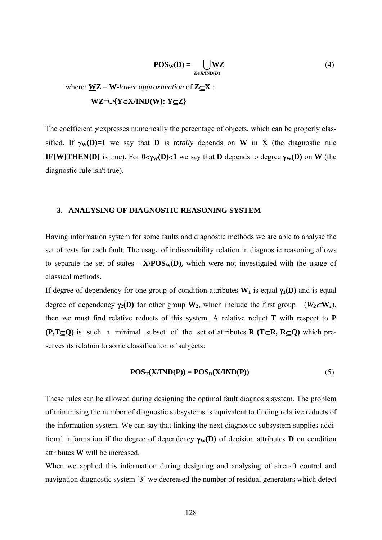$$
POS_{W}(D) = \bigcup_{Z \in XIND(D)} \underline{WZ}
$$
 (4)

where:  $WZ - W$ *-lower approximation* of  $Z \subseteq X$ : **WZ=**∪**{Y**∈**X/IND(W): Y**⊆**Z}** 

The coefficient γ expresses numerically the percentage of objects, which can be properly classified. If  $\gamma_w(D)=1$  we say that **D** is *totally* depends on **W** in **X** (the diagnostic rule **IF{W}THEN{D}** is true). For  $0 < y<sub>W</sub>(D) < 1$  we say that **D** depends to degree  $\gamma_{\text{W}}(D)$  on **W** (the diagnostic rule isn't true).

#### **3. ANALYSING OF DIAGNOSTIC REASONING SYSTEM**

Having information system for some faults and diagnostic methods we are able to analyse the set of tests for each fault. The usage of indiscenibility relation in diagnostic reasoning allows to separate the set of states -  $\mathbf{X} \setminus \mathbf{POS}_{\mathbf{W}}(\mathbf{D})$ , which were not investigated with the usage of classical methods.

If degree of dependency for one group of condition attributes  $W_1$  is equal  $\gamma_1(D)$  and is equal degree of dependency  $\gamma_2(D)$  for other group **W**<sub>2</sub>, which include the first group ( $W_2 \subset W_1$ ), then we must find relative reducts of this system. A relative reduct **T** with respect to **P (P,T**⊆**Q)** is such a minimal subset of the set of attributes **R (T**⊂**R, R**⊆**Q)** which preserves its relation to some classification of subjects:

$$
POS_{T}(X/IND(P)) = POS_{R}(X/IND(P))
$$
\n(5)

These rules can be allowed during designing the optimal fault diagnosis system. The problem of minimising the number of diagnostic subsystems is equivalent to finding relative reducts of the information system. We can say that linking the next diagnostic subsystem supplies additional information if the degree of dependency  $\gamma_w(\mathbf{D})$  of decision attributes **D** on condition attributes **W** will be increased.

When we applied this information during designing and analysing of aircraft control and navigation diagnostic system [3] we decreased the number of residual generators which detect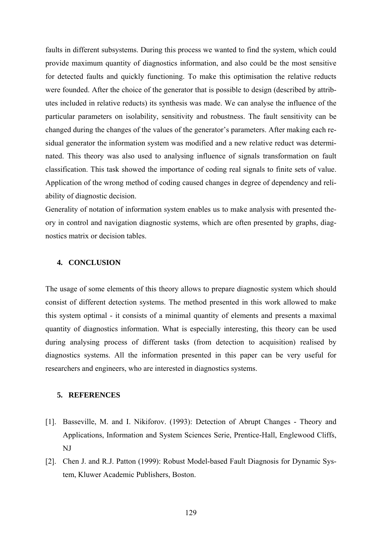faults in different subsystems. During this process we wanted to find the system, which could provide maximum quantity of diagnostics information, and also could be the most sensitive for detected faults and quickly functioning. To make this optimisation the relative reducts were founded. After the choice of the generator that is possible to design (described by attributes included in relative reducts) its synthesis was made. We can analyse the influence of the particular parameters on isolability, sensitivity and robustness. The fault sensitivity can be changed during the changes of the values of the generator's parameters. After making each residual generator the information system was modified and a new relative reduct was determinated. This theory was also used to analysing influence of signals transformation on fault classification. This task showed the importance of coding real signals to finite sets of value. Application of the wrong method of coding caused changes in degree of dependency and reliability of diagnostic decision.

Generality of notation of information system enables us to make analysis with presented theory in control and navigation diagnostic systems, which are often presented by graphs, diagnostics matrix or decision tables.

## **4. CONCLUSION**

The usage of some elements of this theory allows to prepare diagnostic system which should consist of different detection systems. The method presented in this work allowed to make this system optimal - it consists of a minimal quantity of elements and presents a maximal quantity of diagnostics information. What is especially interesting, this theory can be used during analysing process of different tasks (from detection to acquisition) realised by diagnostics systems. All the information presented in this paper can be very useful for researchers and engineers, who are interested in diagnostics systems.

## **5. REFERENCES**

- [1]. Basseville, M. and I. Nikiforov. (1993): Detection of Abrupt Changes Theory and Applications, Information and System Sciences Serie, Prentice-Hall, Englewood Cliffs, NJ
- [2]. Chen J. and R.J. Patton (1999): Robust Model-based Fault Diagnosis for Dynamic System, Kluwer Academic Publishers, Boston.